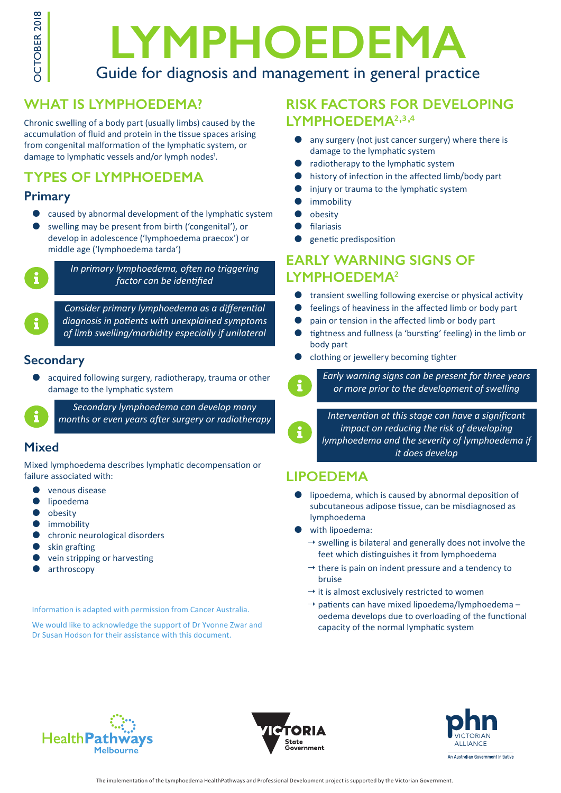

# **LYMPHOEDEMA** Guide for diagnosis and management in general practice

# **WHAT IS LYMPHOEDEMA?**

Chronic swelling of a body part (usually limbs) caused by the accumulation of fluid and protein in the tissue spaces arising from congenital malformation of the lymphatic system, or damage to lymphatic vessels and/or lymph nodes<sup>1</sup>.

# **TYPES OF LYMPHOEDEMA**

#### **Primary**

- caused by abnormal development of the lymphatic system
- swelling may be present from birth ('congenital'), or develop in adolescence ('lymphoedema praecox') or middle age ('lymphoedema tarda')



*In primary lymphoedema, often no triggering factor can be identified*

*Consider primary lymphoedema as a differential diagnosis in patients with unexplained symptoms of limb swelling/morbidity especially if unilateral*

#### **Secondary**

acquired following surgery, radiotherapy, trauma or other damage to the lymphatic system



*Secondary lymphoedema can develop many months or even years after surgery or radiotherapy*

### **Mixed**

Mixed lymphoedema describes lymphatic decompensation or failure associated with:

- venous disease
- $\bullet$  lipoedema
- obesity
- $\bullet$  immobility
- chronic neurological disorders
- skin grafting
- vein stripping or harvesting
- arthroscopy

Information is adapted with permission from Cancer Australia.

We would like to acknowledge the support of Dr Yvonne Zwar and Dr Susan Hodson for their assistance with this document.

# **RISK FACTORS FOR DEVELOPING**  LYMPHOEDEMA<sup>2,3,4</sup>

- any surgery (not just cancer surgery) where there is damage to the lymphatic system
- radiotherapy to the lymphatic system
- $\bullet$  history of infection in the affected limb/body part
- injury or trauma to the lymphatic system
- immobility
- obesity
- filariasis
- genetic predisposition

# **EARLY WARNING SIGNS OF LYMPHOEDEMA**²

- $\bullet$  transient swelling following exercise or physical activity
- $\bullet$  feelings of heaviness in the affected limb or body part
- pain or tension in the affected limb or body part
- $\bullet$  tightness and fullness (a 'bursting' feeling) in the limb or body part
- clothing or jewellery becoming tighter



*Early warning signs can be present for three years or more prior to the development of swelling*

*Intervention at this stage can have a significant impact on reducing the risk of developing lymphoedema and the severity of lymphoedema if it does develop*

# **LIPOEDEMA**

- lipoedema, which is caused by abnormal deposition of subcutaneous adipose tissue, can be misdiagnosed as lymphoedema
- **vith lipoedema:** 
	- $\rightarrow$  swelling is bilateral and generally does not involve the feet which distinguishes it from lymphoedema
	- $\rightarrow$  there is pain on indent pressure and a tendency to bruise
	- $\rightarrow$  it is almost exclusively restricted to women
	- $\rightarrow$  patients can have mixed lipoedema/lymphoedema oedema develops due to overloading of the functional capacity of the normal lymphatic system





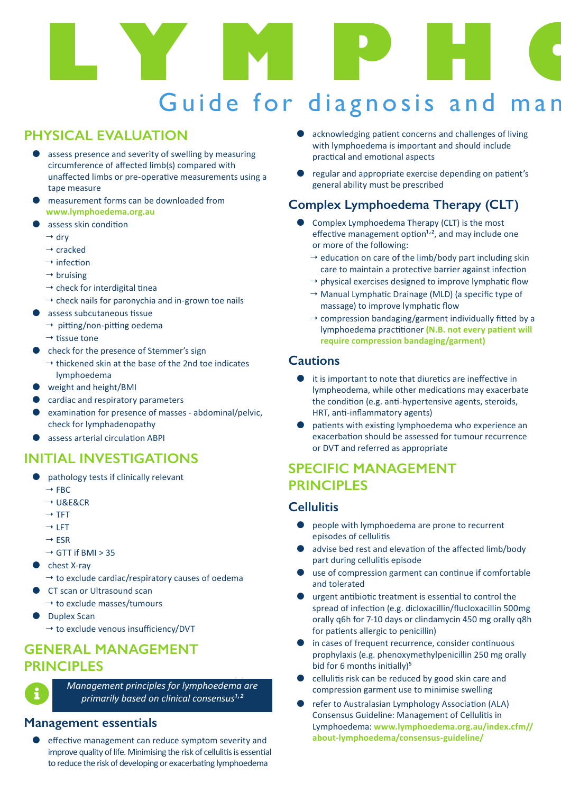# LYMPHO Guide for diagnosis and man

# **PHYSICAL EVALUATION**

- assess presence and severity of swelling by measuring circumference of affected limb(s) compared with unaffected limbs or pre-operative measurements using a tape measure
- measurement forms can be downloaded from **www.lymphoedema.org.au**
- assess skin condition
	- $\rightarrow$  dry
	- $\rightarrow$  cracked
	- $\rightarrow$  infection
	- $\rightarrow$  bruising
	- $\rightarrow$  check for interdigital tinea
	- $\rightarrow$  check nails for paronychia and in-grown toe nails
- assess subcutaneous tissue
- $\rightarrow$  pitting/non-pitting oedema
	- $\rightarrow$  tissue tone
- z check for the presence of Stemmer's sign
	- $\rightarrow$  thickened skin at the base of the 2nd toe indicates lymphoedema
- weight and height/BMI
- cardiac and respiratory parameters
- examination for presence of masses abdominal/pelvic, check for lymphadenopathy
- assess arterial circulation ABPI

# **INITIAL INVESTIGATIONS**

- pathology tests if clinically relevant
	- $\rightarrow$  FBC
	- $\rightarrow$  U&E&CR
	- $\rightarrow$  TFT
	- $\rightarrow$  LFT
	- $\rightarrow$  FSR
	- $\rightarrow$  GTT if BMI > 35
- chest X-ray
	- $\rightarrow$  to exclude cardiac/respiratory causes of oedema
	- CT scan or Ultrasound scan
	- $\rightarrow$  to exclude masses/tumours
- **Duplex Scan** 
	- $\rightarrow$  to exclude venous insufficiency/DVT

# **GENERAL MANAGEMENT PRINCIPLES**

**, ,** *Management principles for lymphoedema are primarily based on clinical consensus*<sup>1,2</sup>

# **Management essentials**

effective management can reduce symptom severity and improve quality of life. Minimising the risk of cellulitis is essential to reduce the risk of developing or exacerbating lymphoedema

- acknowledging patient concerns and challenges of living with lymphoedema is important and should include practical and emotional aspects
- regular and appropriate exercise depending on patient's general ability must be prescribed

# **Complex Lymphoedema Therapy (CLT)**

- Complex Lymphoedema Therapy (CLT) is the most effective management option $1,2$ , and may include one or more of the following:
	- $\rightarrow$  education on care of the limb/body part including skin care to maintain a protective barrier against infection
	- $\rightarrow$  physical exercises designed to improve lymphatic flow
	- $\rightarrow$  Manual Lymphatic Drainage (MLD) (a specific type of massage) to improve lymphatic flow
	- $\rightarrow$  compression bandaging/garment individually fitted by a lymphoedema practitioner **(N.B. not every patient will require compression bandaging/garment)**

#### **Cautions**

- $\bullet$  it is important to note that diuretics are ineffective in lympheodema, while other medications may exacerbate the condition (e.g. anti-hypertensive agents, steroids, HRT, anti-inflammatory agents)
- patients with existing lymphoedema who experience an exacerbation should be assessed for tumour recurrence or DVT and referred as appropriate

# **SPECIFIC MANAGEMENT PRINCIPLES**

#### **Cellulitis**

- $\bullet$  people with lymphoedema are prone to recurrent episodes of cellulitis
- advise bed rest and elevation of the affected limb/body part during cellulitis episode
- use of compression garment can continue if comfortable and tolerated
- urgent antibiotic treatment is essential to control the spread of infection (e.g. dicloxacillin/flucloxacillin 500mg orally q6h for 7-10 days or clindamycin 450 mg orally q8h for patients allergic to penicillin)
- in cases of frequent recurrence, consider continuous prophylaxis (e.g. phenoxymethylpenicillin 250 mg orally bid for 6 months initially)<sup>5</sup>
- cellulitis risk can be reduced by good skin care and compression garment use to minimise swelling
- refer to Australasian Lymphology Association (ALA) Consensus Guideline: Management of Cellulitis in Lymphoedema: **www.lymphoedema.org.au/index.cfm// about-lymphoedema/consensus-guideline/**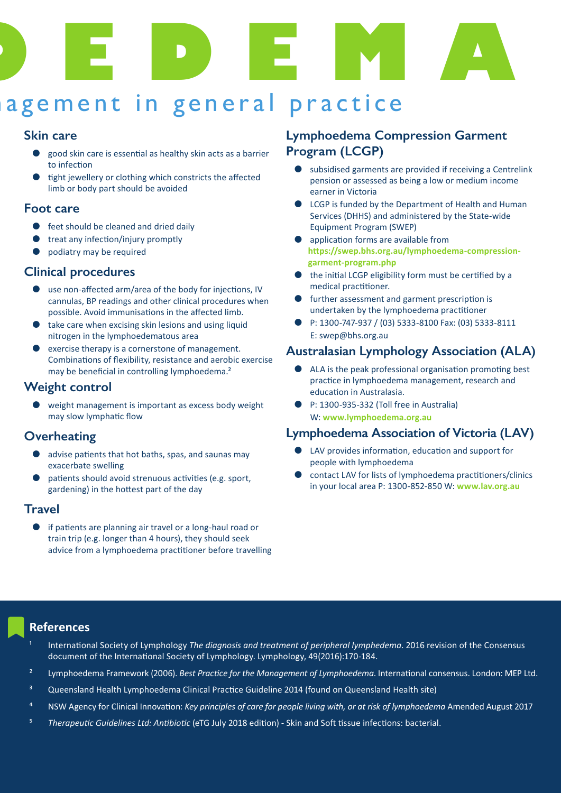

# agement in general practice

#### **Skin care**

- z good skin care is essential as healthy skin acts as a barrier to infection
- tight jewellery or clothing which constricts the affected limb or body part should be avoided

#### **Foot care**

- $\bullet$  feet should be cleaned and dried daily
- $\bullet$  treat any infection/injury promptly
- podiatry may be required

#### **Clinical procedures**

- use non-affected arm/area of the body for injections, IV cannulas, BP readings and other clinical procedures when possible. Avoid immunisations in the affected limb.
- take care when excising skin lesions and using liquid nitrogen in the lymphoedematous area
- exercise therapy is a cornerstone of management. Combinations of flexibility, resistance and aerobic exercise may be beneficial in controlling lymphoedema.<sup>2</sup>

#### **Weight control**

weight management is important as excess body weight may slow lymphatic flow

#### **Overheating**

- advise patients that hot baths, spas, and saunas may exacerbate swelling
- patients should avoid strenuous activities (e.g. sport, gardening) in the hottest part of the day

#### **Travel**

if patients are planning air travel or a long-haul road or train trip (e.g. longer than 4 hours), they should seek advice from a lymphoedema practitioner before travelling

## **Lymphoedema Compression Garment Program (LCGP)**

- subsidised garments are provided if receiving a Centrelink pension or assessed as being a low or medium income earner in Victoria
- LCGP is funded by the Department of Health and Human Services (DHHS) and administered by the State-wide Equipment Program (SWEP)
- application forms are available from **https://swep.bhs.org.au/lymphoedema-compression garment-program.php**
- the initial LCGP eligibility form must be certified by a medical practitioner.
- further assessment and garment prescription is undertaken by the lymphoedema practitioner
- z P: 1300-747-937 / (03) 5333-8100 Fax: (03) 5333-8111 E: swep@bhs.org.au

#### **Australasian Lymphology Association (ALA)**

- ALA is the peak professional organisation promoting best practice in lymphoedema management, research and education in Australasia.
- P: 1300-935-332 (Toll free in Australia) W: **www.lymphoedema.org.au**

#### **Lymphoedema Association of Victoria (LAV)**

- $\bullet$  LAV provides information, education and support for people with lymphoedema
- contact LAV for lists of lymphoedema practitioners/clinics in your local area P: 1300-852-850 W: **www.lav.org.au**

#### **References**

- International Society of Lymphology *The diggnosis and treatment of peripheral lymphedema*. 2016 revision of the Consensus document of the International Society of Lymphology. Lymphology, 49(2016):170-184.
- ² Lymphoedema Framework (2006). *Best Practice for the Management of Lymphoedema*. International consensus. London: MEP Ltd.
- ³ Queensland Health Lymphoedema Clinical Practice Guideline 2014 (found on Queensland Health site)
- ⁴ NSW Agency for Clinical Innovation: *Key principles of care for people living with, or at risk of lymphoedema* Amended August 2017
- ⁵ *Therapeutic Guidelines Ltd: Antibiotic* (eTG July 2018 edition) Skin and Soft tissue infections: bacterial.